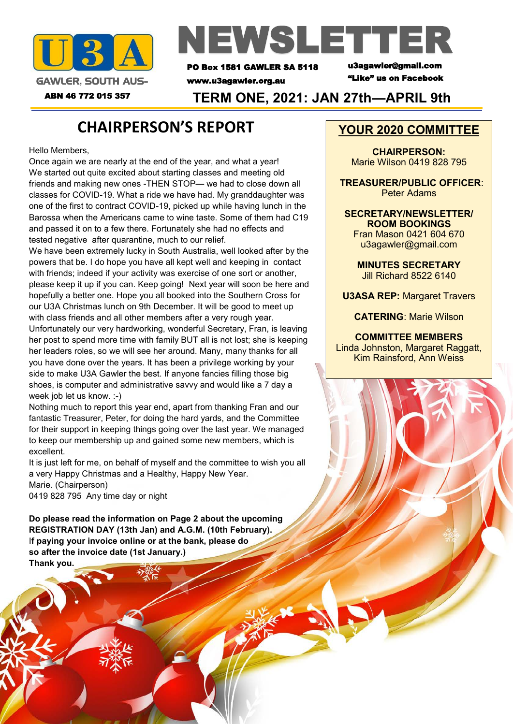



PO Box 1581 GAWLER SA 5118

www.u3agawler.org.au

u3agawler@gmail.com "Like" us on Facebook

ABN 46 772 015 357 **TERM ONE, 2021: JAN 27th—APRIL 9th**

### **CHAIRPERSON'S REPORT**

Hello Members,

Once again we are nearly at the end of the year, and what a year! We started out quite excited about starting classes and meeting old friends and making new ones -THEN STOP— we had to close down all classes for COVID-19. What a ride we have had. My granddaughter was one of the first to contract COVID-19, picked up while having lunch in the Barossa when the Americans came to wine taste. Some of them had C19 and passed it on to a few there. Fortunately she had no effects and tested negative after quarantine, much to our relief.

We have been extremely lucky in South Australia, well looked after by the powers that be. I do hope you have all kept well and keeping in contact with friends; indeed if your activity was exercise of one sort or another, please keep it up if you can. Keep going! Next year will soon be here and hopefully a better one. Hope you all booked into the Southern Cross for our U3A Christmas lunch on 9th December. It will be good to meet up with class friends and all other members after a very rough year. Unfortunately our very hardworking, wonderful Secretary, Fran, is leaving her post to spend more time with family BUT all is not lost; she is keeping her leaders roles, so we will see her around. Many, many thanks for all you have done over the years. It has been a privilege working by your side to make U3A Gawler the best. If anyone fancies filling those big shoes, is computer and administrative savvy and would like a 7 day a week job let us know. :-)

Nothing much to report this year end, apart from thanking Fran and our fantastic Treasurer, Peter, for doing the hard yards, and the Committee for their support in keeping things going over the last year. We managed to keep our membership up and gained some new members, which is excellent.

It is just left for me, on behalf of myself and the committee to wish you all a very Happy Christmas and a Healthy, Happy New Year. Marie. (Chairperson) 0419 828 795 Any time day or night

**Do please read the information on Page 2 about the upcoming REGISTRATION DAY (13th Jan) and A.G.M. (10th February).**  I**f paying your invoice online or at the bank, please do so after the invoice date (1st January.) Thank you.** 

#### **YOUR 2020 COMMITTEE**

**CHAIRPERSON:**  Marie Wilson 0419 828 795

 **TREASURER/PUBLIC OFFICER**: Peter Adams

**SECRETARY/NEWSLETTER/ ROOM BOOKINGS**  Fran Mason 0421 604 670 u3agawler@gmail.com

**MINUTES SECRETARY**  Jill Richard 8522 6140

**U3ASA REP:** Margaret Travers

**CATERING**: Marie Wilson

**COMMITTEE MEMBERS**  Linda Johnston, Margaret Raggatt, Kim Rainsford, Ann Weiss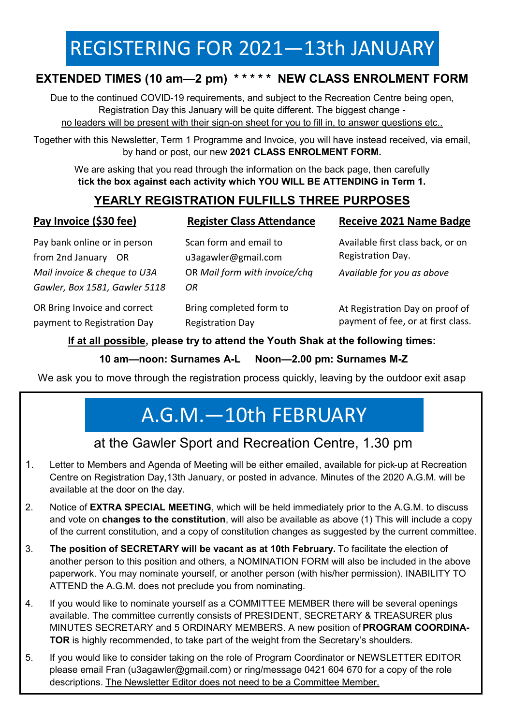# REGISTERING FOR 2021—13th JANUARY

### **EXTENDED TIMES (10 am—2 pm) \* \* \* \* \* NEW CLASS ENROLMENT FORM**

Due to the continued COVID-19 requirements, and subject to the Recreation Centre being open, Registration Day this January will be quite different. The biggest change no leaders will be present with their sign-on sheet for you to fill in, to answer questions etc..

Together with this Newsletter, Term 1 Programme and Invoice, you will have instead received, via email, by hand or post, our new **2021 CLASS ENROLMENT FORM.**

We are asking that you read through the information on the back page, then carefully **tick the box against each activity which YOU WILL BE ATTENDING in Term 1.** 

#### **YEARLY REGISTRATION FULFILLS THREE PURPOSES**

| $1.4$ , $1.11$ , $1.001$ , $1.001$ , $1.001$ |             |  |
|----------------------------------------------|-------------|--|
| Pay bank online or in person                 | Sca         |  |
| from 2nd January OR                          | u3a         |  |
| Mail invoice & cheque to U3A                 | OR          |  |
| Gawler, Box 1581, Gawler 5118                | OR          |  |
| OR Bring Invoice and correct                 | <b>Brir</b> |  |
| payment to Registration Day                  | Reg         |  |

**Pay Invoice (\$30 fee)**

**Register Class Attendance**

**Receive 2021 Name Badge**

can form and email to u3agawler@gmail.com OR *Mail form with invoice/chq* 

Bring completed form to Registration Day

Available first class back, or on Registration Day.

*Available for you as above* 

At Registration Day on proof of payment of fee, or at first class.

#### **If at all possible, please try to attend the Youth Shak at the following times:**

**10 am—noon: Surnames A-L Noon—2.00 pm: Surnames M-Z** 

We ask you to move through the registration process quickly, leaving by the outdoor exit asap

# A.G.M.—10th FEBRUARY

### at the Gawler Sport and Recreation Centre, 1.30 pm

- 1. Letter to Members and Agenda of Meeting will be either emailed, available for pick-up at Recreation Centre on Registration Day,13th January, or posted in advance. Minutes of the 2020 A.G.M. will be available at the door on the day.
- 2. Notice of **EXTRA SPECIAL MEETING**, which will be held immediately prior to the A.G.M. to discuss and vote on **changes to the constitution**, will also be available as above (1) This will include a copy of the current constitution, and a copy of constitution changes as suggested by the current committee.
- 3. **The position of SECRETARY will be vacant as at 10th February.** To facilitate the election of another person to this position and others, a NOMINATION FORM will also be included in the above paperwork. You may nominate yourself, or another person (with his/her permission). INABILITY TO ATTEND the A.G.M. does not preclude you from nominating.
- 4. If you would like to nominate yourself as a COMMITTEE MEMBER there will be several openings available. The committee currently consists of PRESIDENT, SECRETARY & TREASURER plus MINUTES SECRETARY and 5 ORDINARY MEMBERS. A new position of **PROGRAM COORDINA-TOR** is highly recommended, to take part of the weight from the Secretary's shoulders.
- 5. If you would like to consider taking on the role of Program Coordinator or NEWSLETTER EDITOR please email Fran (u3agawler@gmail.com) or ring/message 0421 604 670 for a copy of the role descriptions. The Newsletter Editor does not need to be a Committee Member.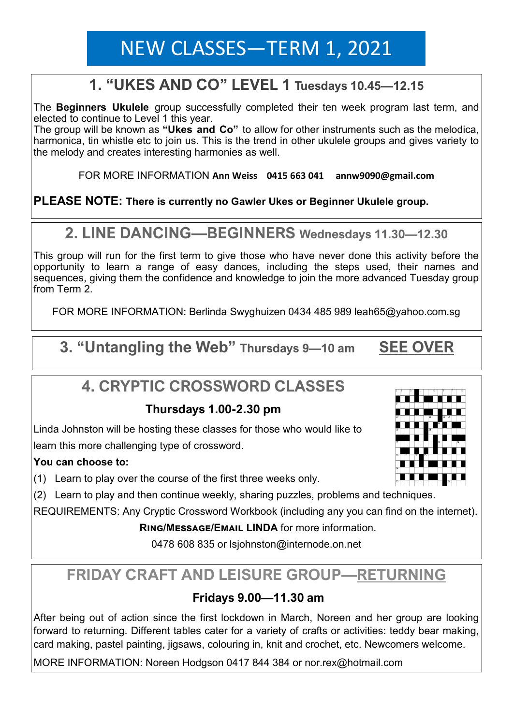# NEW CLASSES—TERM 1, 2021

### **1. "UKES AND CO" LEVEL 1 Tuesdays 10.45—12.15**

The **Beginners Ukulele** group successfully completed their ten week program last term, and elected to continue to Level 1 this year.

The group will be known as **"Ukes and Co"** to allow for other instruments such as the melodica, harmonica, tin whistle etc to join us. This is the trend in other ukulele groups and gives variety to the melody and creates interesting harmonies as well.

FOR MORE INFORMATION **Ann Weiss 0415 663 041 annw9090@gmail.com**

**PLEASE NOTE: There is currently no Gawler Ukes or Beginner Ukulele group.** 

### **2. LINE DANCING—BEGINNERS Wednesdays 11.30—12.30**

This group will run for the first term to give those who have never done this activity before the opportunity to learn a range of easy dances, including the steps used, their names and sequences, giving them the confidence and knowledge to join the more advanced Tuesday group from Term 2.

FOR MORE INFORMATION: Berlinda Swyghuizen 0434 485 989 leah65@yahoo.com.sg

**3. "Untangling the Web" Thursdays 9—10 am SEE OVER**

### **4. CRYPTIC CROSSWORD CLASSES**

#### **Thursdays 1.00-2.30 pm**

Linda Johnston will be hosting these classes for those who would like to learn this more challenging type of crossword.

#### **You can choose to:**

- (1) Learn to play over the course of the first three weeks only.
- (2) Learn to play and then continue weekly, sharing puzzles, problems and techniques.

REQUIREMENTS: Any Cryptic Crossword Workbook (including any you can find on the internet).

#### **Ring/Message/Email LINDA** for more information.

0478 608 835 or lsjohnston@internode.on.net

## **FRIDAY CRAFT AND LEISURE GROUP—RETURNING**

#### **Fridays 9.00—11.30 am**

After being out of action since the first lockdown in March, Noreen and her group are looking forward to returning. Different tables cater for a variety of crafts or activities: teddy bear making, card making, pastel painting, jigsaws, colouring in, knit and crochet, etc. Newcomers welcome.

MORE INFORMATION: Noreen Hodgson 0417 844 384 or nor.rex@hotmail.com

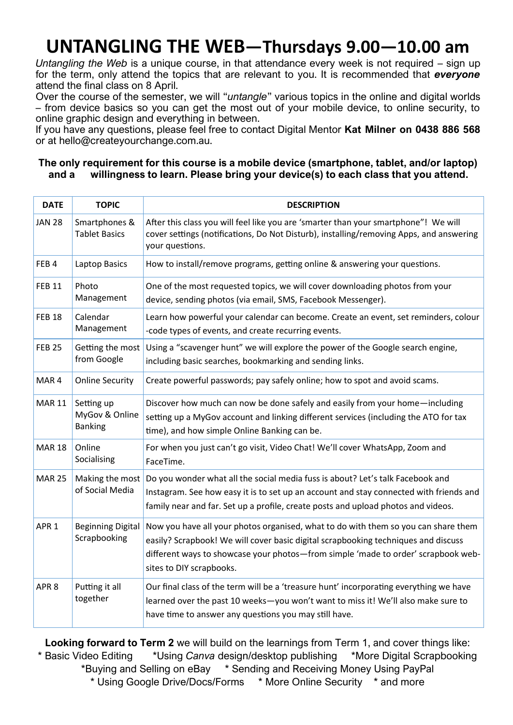# **UNTANGLING THE WEB—Thursdays 9.00—10.00 am**

*Untangling the Web* is a unique course, in that attendance every week is not required – sign up for the term, only attend the topics that are relevant to you. It is recommended that *everyone* attend the final class on 8 April.

Over the course of the semester, we will "*untangle*" various topics in the online and digital worlds – from device basics so you can get the most out of your mobile device, to online security, to online graphic design and everything in between.

If you have any questions, please feel free to contact Digital Mentor **Kat Milner on 0438 886 568**  or at hello@createyourchange.com.au.

#### **The only requirement for this course is a mobile device (smartphone, tablet, and/or laptop) and a willingness to learn. Please bring your device(s) to each class that you attend.**

| <b>DATE</b>      | <b>TOPIC</b>                                   | <b>DESCRIPTION</b>                                                                                                                                                                                                                                                                        |
|------------------|------------------------------------------------|-------------------------------------------------------------------------------------------------------------------------------------------------------------------------------------------------------------------------------------------------------------------------------------------|
| <b>JAN 28</b>    | Smartphones &<br><b>Tablet Basics</b>          | After this class you will feel like you are 'smarter than your smartphone"! We will<br>cover settings (notifications, Do Not Disturb), installing/removing Apps, and answering<br>your questions.                                                                                         |
| FEB4             | Laptop Basics                                  | How to install/remove programs, getting online & answering your questions.                                                                                                                                                                                                                |
| <b>FEB 11</b>    | Photo<br>Management                            | One of the most requested topics, we will cover downloading photos from your<br>device, sending photos (via email, SMS, Facebook Messenger).                                                                                                                                              |
| <b>FEB 18</b>    | Calendar<br>Management                         | Learn how powerful your calendar can become. Create an event, set reminders, colour<br>-code types of events, and create recurring events.                                                                                                                                                |
| <b>FEB 25</b>    | Getting the most<br>from Google                | Using a "scavenger hunt" we will explore the power of the Google search engine,<br>including basic searches, bookmarking and sending links.                                                                                                                                               |
| MAR <sub>4</sub> | <b>Online Security</b>                         | Create powerful passwords; pay safely online; how to spot and avoid scams.                                                                                                                                                                                                                |
| <b>MAR 11</b>    | Setting up<br>MyGov & Online<br><b>Banking</b> | Discover how much can now be done safely and easily from your home-including<br>setting up a MyGov account and linking different services (including the ATO for tax<br>time), and how simple Online Banking can be.                                                                      |
| <b>MAR 18</b>    | Online<br>Socialising                          | For when you just can't go visit, Video Chat! We'll cover WhatsApp, Zoom and<br>FaceTime.                                                                                                                                                                                                 |
| <b>MAR 25</b>    | Making the most<br>of Social Media             | Do you wonder what all the social media fuss is about? Let's talk Facebook and<br>Instagram. See how easy it is to set up an account and stay connected with friends and<br>family near and far. Set up a profile, create posts and upload photos and videos.                             |
| APR <sub>1</sub> | <b>Beginning Digital</b><br>Scrapbooking       | Now you have all your photos organised, what to do with them so you can share them<br>easily? Scrapbook! We will cover basic digital scrapbooking techniques and discuss<br>different ways to showcase your photos-from simple 'made to order' scrapbook web-<br>sites to DIY scrapbooks. |
| APR <sub>8</sub> | Putting it all<br>together                     | Our final class of the term will be a 'treasure hunt' incorporating everything we have<br>learned over the past 10 weeks-you won't want to miss it! We'll also make sure to<br>have time to answer any questions you may still have.                                                      |

**Looking forward to Term 2** we will build on the learnings from Term 1, and cover things like: \* Basic Video Editing \*Using *Canva* design/desktop publishing \*More Digital Scrapbooking \*Buying and Selling on eBay \* Sending and Receiving Money Using PayPal \* Using Google Drive/Docs/Forms \* More Online Security \* and more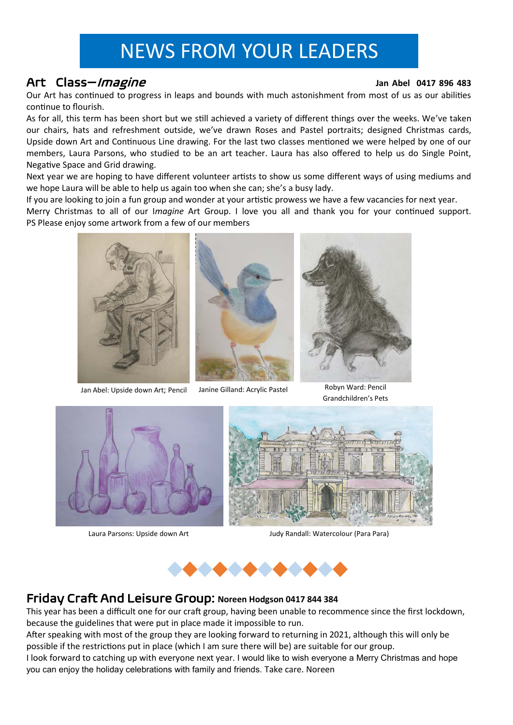# NEWS FROM YOUR LEADERS

#### Art Class—Imagine **Jan Abel 0417 896 483**

Our Art has continued to progress in leaps and bounds with much astonishment from most of us as our abilities continue to flourish.

As for all, this term has been short but we still achieved a variety of different things over the weeks. We've taken our chairs, hats and refreshment outside, we've drawn Roses and Pastel portraits; designed Christmas cards, Upside down Art and Continuous Line drawing. For the last two classes mentioned we were helped by one of our members, Laura Parsons, who studied to be an art teacher. Laura has also offered to help us do Single Point, Negative Space and Grid drawing.

Next year we are hoping to have different volunteer artists to show us some different ways of using mediums and we hope Laura will be able to help us again too when she can; she's a busy lady.

If you are looking to join a fun group and wonder at your artistic prowess we have a few vacancies for next year.

Merry Christmas to all of our I*magine* Art Group. I love you all and thank you for your continued support. PS Please enjoy some artwork from a few of our members



Jan Abel: Upside down Art; Pencil Janine Gilland: Acrylic Pastel





Robyn Ward: Pencil Grandchildren's Pets



Laura Parsons: Upside down Art



Judy Randall: Watercolour (Para Para)



### Friday Craft And Leisure Group: **Noreen Hodgson 0417 844 384**

This year has been a difficult one for our craft group, having been unable to recommence since the first lockdown, because the guidelines that were put in place made it impossible to run.

After speaking with most of the group they are looking forward to returning in 2021, although this will only be possible if the restrictions put in place (which I am sure there will be) are suitable for our group.

I look forward to catching up with everyone next year. I would like to wish everyone a Merry Christmas and hope you can enjoy the holiday celebrations with family and friends. Take care. Noreen